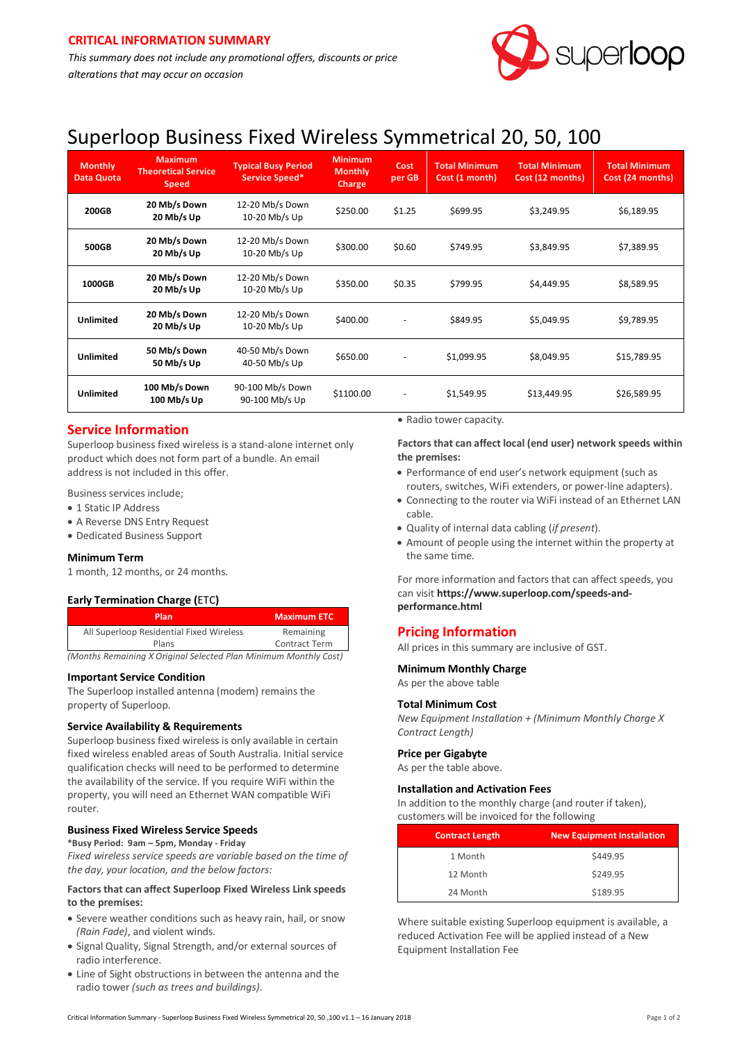

# Superloop Business Fixed Wireless Symmetrical 20, 50, 100

| <b>Monthly</b><br><b>Data Quota</b> | <b>Maximum</b><br><b>Theoretical Service</b><br><b>Speed</b> | <b>Typical Busy Period</b><br>Service Speed* | <b>Minimum</b><br><b>Monthly</b><br>Charge | Cost<br>per GB           | <b>Total Minimum</b><br>Cost (1 month) | <b>Total Minimum</b><br>Cost (12 months) | <b>Total Minimum</b><br>Cost (24 months) |
|-------------------------------------|--------------------------------------------------------------|----------------------------------------------|--------------------------------------------|--------------------------|----------------------------------------|------------------------------------------|------------------------------------------|
| 200GB                               | 20 Mb/s Down<br>20 Mb/s Up                                   | 12-20 Mb/s Down<br>10-20 Mb/s Up             | \$250.00                                   | \$1.25                   | \$699.95                               | \$3,249.95                               | \$6,189.95                               |
| 500GB                               | 20 Mb/s Down<br>20 Mb/s Up                                   | 12-20 Mb/s Down<br>10-20 Mb/s Up             | \$300.00                                   | \$0.60                   | \$749.95                               | \$3,849.95                               | \$7,389.95                               |
| 1000GB                              | 20 Mb/s Down<br>20 Mb/s Up                                   | 12-20 Mb/s Down<br>10-20 Mb/s Up             | \$350.00                                   | \$0.35                   | \$799.95                               | \$4,449.95                               | \$8,589.95                               |
| <b>Unlimited</b>                    | 20 Mb/s Down<br>20 Mb/s Up                                   | 12-20 Mb/s Down<br>10-20 Mb/s Up             | \$400.00                                   |                          | \$849.95                               | \$5,049.95                               | \$9,789.95                               |
| <b>Unlimited</b>                    | 50 Mb/s Down<br>50 Mb/s Up                                   | 40-50 Mb/s Down<br>40-50 Mb/s Up             | \$650.00                                   |                          | \$1,099.95                             | \$8,049.95                               | \$15,789.95                              |
| <b>Unlimited</b>                    | 100 Mb/s Down<br>100 Mb/s Up                                 | 90-100 Mb/s Down<br>90-100 Mb/s Up           | \$1100.00                                  | $\overline{\phantom{a}}$ | \$1,549.95                             | \$13,449.95                              | \$26,589.95                              |

# **Service Information**

Superloop business fixed wireless is a stand-alone internet only product which does not form part of a bundle. An email address is not included in this offer.

Business services include;

- 1 Static IP Address
- A Reverse DNS Entry Request
- Dedicated Business Support

#### **Minimum Term**

1 month, 12 months, or 24 months.

#### **Early Termination Charge (**ETC**)**

| <b>Plan</b>                              | <b>Maximum ETC</b>   |  |
|------------------------------------------|----------------------|--|
| All Superloop Residential Fixed Wireless | Remaining            |  |
| Plans                                    | <b>Contract Term</b> |  |
| .<br>.                                   | .                    |  |

*(Months Remaining X Original Selected Plan Minimum Monthly Cost)*

#### **Important Service Condition**

The Superloop installed antenna (modem) remains the property of Superloop.

#### **Service Availability & Requirements**

Superloop business fixed wireless is only available in certain fixed wireless enabled areas of South Australia. Initial service qualification checks will need to be performed to determine the availability of the service. If you require WiFi within the property, you will need an Ethernet WAN compatible WiFi router.

## **Business Fixed Wireless Service Speeds**

**\*Busy Period: 9am – 5pm, Monday - Friday** *Fixed wireless service speeds are variable based on the time of the day, your location, and the below factors:*

#### **Factors that can affect Superloop Fixed Wireless Link speeds to the premises:**

- Severe weather conditions such as heavy rain, hail, or snow *(Rain Fade)*, and violent winds.
- Signal Quality, Signal Strength, and/or external sources of radio interference.
- Line of Sight obstructions in between the antenna and the radio tower *(such as trees and buildings)*.

• Radio tower capacity.

**Factors that can affect local (end user) network speeds within the premises:**

- Performance of end user's network equipment (such as routers, switches, WiFi extenders, or power-line adapters).
- Connecting to the router via WiFi instead of an Ethernet LAN cable.
- Quality of internal data cabling (*if present*).
- Amount of people using the internet within the property at the same time.

For more information and factors that can affect speeds, you can visit **[https://www.superloop.com/speeds-and](https://www.superloop.com/speeds-and-performance.html)[performance.html](https://www.superloop.com/speeds-and-performance.html)**

## **Pricing Information**

All prices in this summary are inclusive of GST.

#### **Minimum Monthly Charge**

As per the above table

#### **Total Minimum Cost**

*New Equipment Installation + (Minimum Monthly Charge X Contract Length)*

#### **Price per Gigabyte**

As per the table above.

#### **Installation and Activation Fees**

In addition to the monthly charge (and router if taken), customers will be invoiced for the following

| <b>Contract Length</b> | <b>New Equipment Installation</b> |
|------------------------|-----------------------------------|
| 1 Month                | \$449.95                          |
| 12 Month               | \$249.95                          |
| 24 Month               | \$189.95                          |

Where suitable existing Superloop equipment is available, a reduced Activation Fee will be applied instead of a New Equipment Installation Fee